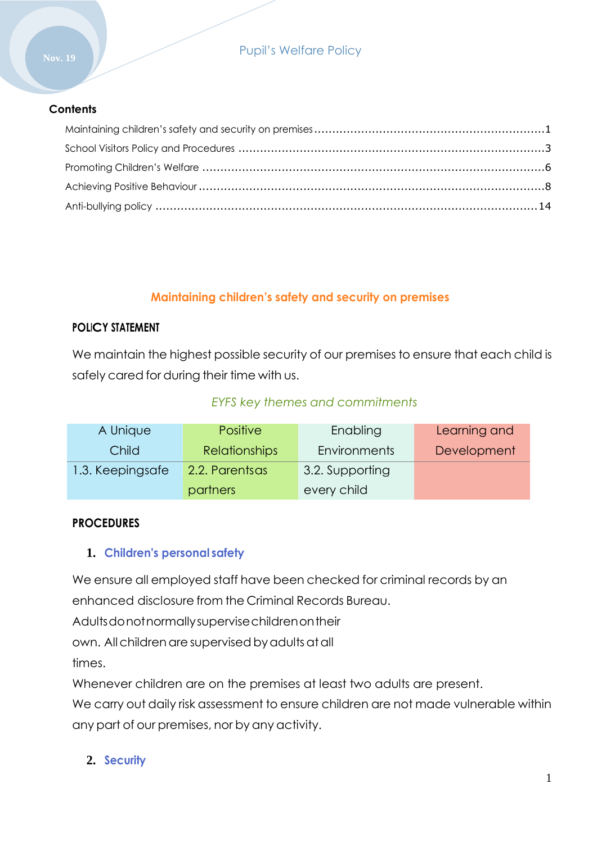## Pupil's Welfare Policy

#### **Contents**

## **Maintaining children's safety and security on premises**

#### <span id="page-0-0"></span>**POLICY STATEMENT**

We maintain the highest possible security of our premises to ensure that each child is safely cared for during their time with us.

## *EYFS key themes and commitments*

| A Unique         | <b>Positive</b>      | Enabling        | Learning and |
|------------------|----------------------|-----------------|--------------|
| Child            | <b>Relationships</b> | Environments    | Development  |
| 1.3. Keepingsafe | 2.2. Parentsas       | 3.2. Supporting |              |
|                  | partners             | every child     |              |

#### **PROCEDURES**

### **1. Children's personal safety**

We ensure all employed staff have been checked for criminal records by an enhanced disclosure from the Criminal Records Bureau.

Adultsdonotnormallysupervisechildrenontheir

own. All children are supervised by adults at all

times.

Whenever children are on the premises at least two adults are present.

We carry out daily risk assessment to ensure children are not made vulnerable within any part of our premises, nor by any activity.

**2. Security**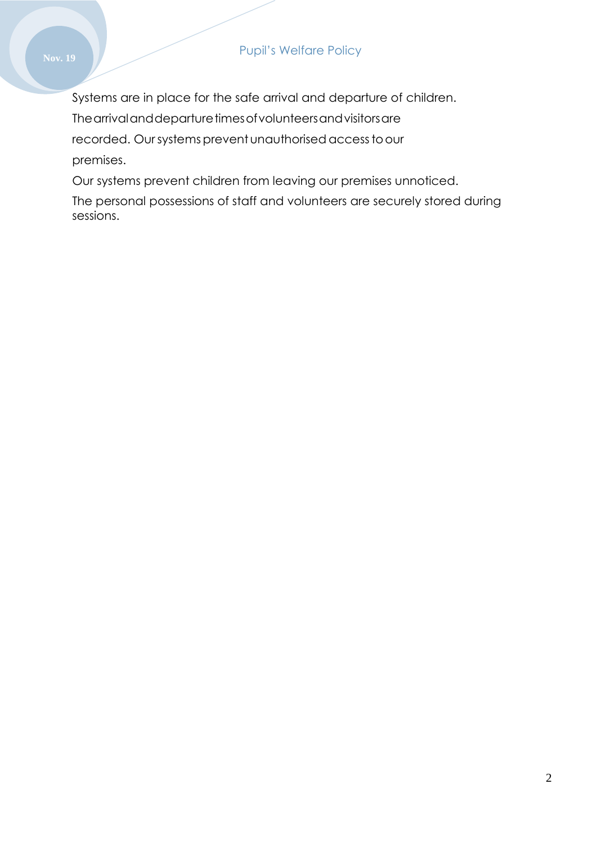Systems are in place for the safe arrival and departure of children.

The arrival and departure times of volunteers and visitors are

recorded. Our systems prevent unauthorised access to our

premises.

Our systems prevent children from leaving our premises unnoticed.

The personal possessions of staff and volunteers are securely stored during sessions.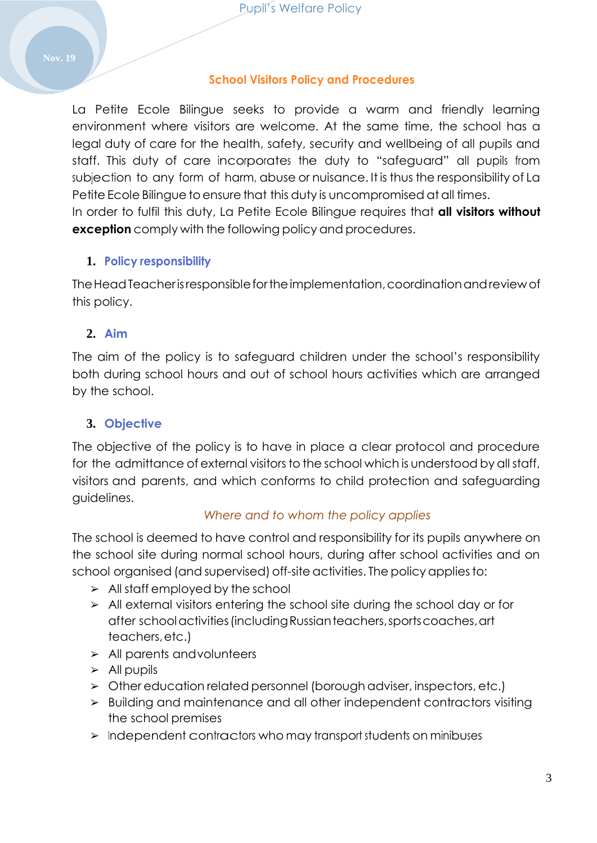## **School Visitors Policy and Procedures**

<span id="page-2-0"></span>La Petite Ecole Bilingue seeks to provide a warm and friendly learning environment where visitors are welcome. At the same time, the school has a legal duty of care for the health, safety, security and wellbeing of all pupils and staff. This duty of care incorporates the duty to "safeguard" all pupils from subjection to any form of harm, abuse or nuisance. It is thus the responsibility of La Petite Ecole Bilingue to ensure that this duty is uncompromised at all times.

In order to fulfil this duty, La Petite Ecole Bilingue requires that **all visitors without exception** comply with the following policy and procedures.

## **1. Policy responsibility**

TheHeadTeacherisresponsiblefortheimplementation,coordinationandreview of this policy.

## **2. Aim**

The aim of the policy is to safeguard children under the school's responsibility both during school hours and out of school hours activities which are arranged by the school.

## **3. Objective**

The objective of the policy is to have in place a clear protocol and procedure for the admittance of external visitors to the school which is understood by all staff, visitors and parents, and which conforms to child protection and safeguarding guidelines.

### *Where and to whom the policy applies*

The school is deemed to have control and responsibility for its pupils anywhere on the school site during normal school hours, during after school activities and on school organised (and supervised) off-site activities. The policy applies to:

- $\geq$  All staff employed by the school
- ➢ All external visitors entering the school site during the school day or for after schoolactivities(includingRussianteachers,sportscoaches,art teachers,etc.)
- ➢ All parents andvolunteers
- $\triangleright$  All pupils
- ➢ Other education related personnel (borough adviser, inspectors, etc.)
- ➢ Building and maintenance and all other independent contractors visiting the school premises
- ➢ Independent contractors who may transport students on minibuses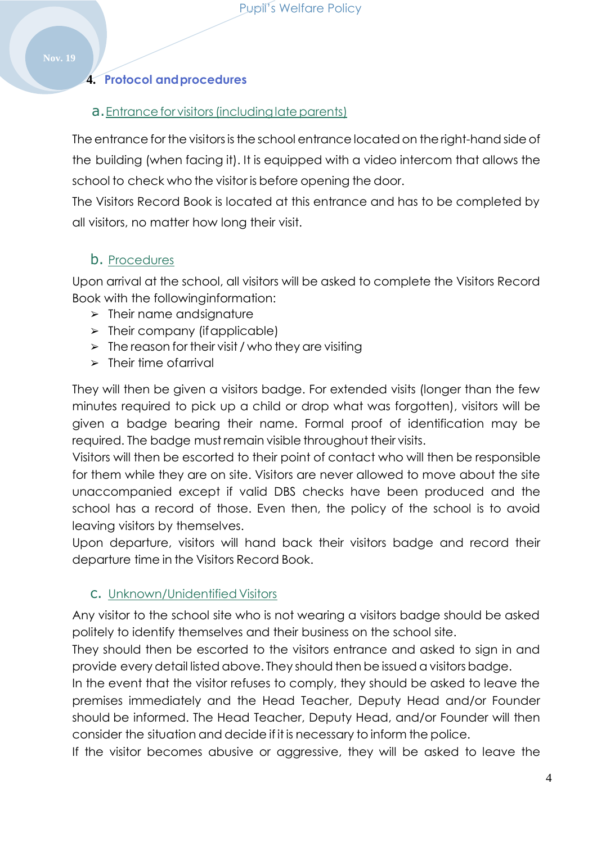## **4. Protocol andprocedures**

#### **a.** Entrance for visitors (including late parents)

The entrance for the visitors is the school entrance located on the right-hand side of the building (when facing it). It is equipped with a video intercom that allows the school to check who the visitor is before opening the door.

The Visitors Record Book is located at this entrance and has to be completed by all visitors, no matter how long their visit.

## b. Procedures

Upon arrival at the school, all visitors will be asked to complete the Visitors Record Book with the followinginformation:

- ➢ Their name andsignature
- $\triangleright$  Their company (if applicable)
- $\geq$  The reason for their visit / who they are visiting
- ➢ Their time ofarrival

They will then be given a visitors badge. For extended visits (longer than the few minutes required to pick up a child or drop what was forgotten), visitors will be given a badge bearing their name. Formal proof of identification may be required. The badge mustremain visible throughout their visits.

Visitors will then be escorted to their point of contact who will then be responsible for them while they are on site. Visitors are never allowed to move about the site unaccompanied except if valid DBS checks have been produced and the school has a record of those. Even then, the policy of the school is to avoid leaving visitors by themselves.

Upon departure, visitors will hand back their visitors badge and record their departure time in the Visitors Record Book.

## c. Unknown/Unidentified Visitors

Any visitor to the school site who is not wearing a visitors badge should be asked politely to identify themselves and their business on the school site.

They should then be escorted to the visitors entrance and asked to sign in and provide every detail listed above. They should then be issued avisitors badge.

In the event that the visitor refuses to comply, they should be asked to leave the premises immediately and the Head Teacher, Deputy Head and/or Founder should be informed. The Head Teacher, Deputy Head, and/or Founder will then consider the situation and decide if it is necessary to inform the police.

If the visitor becomes abusive or aggressive, they will be asked to leave the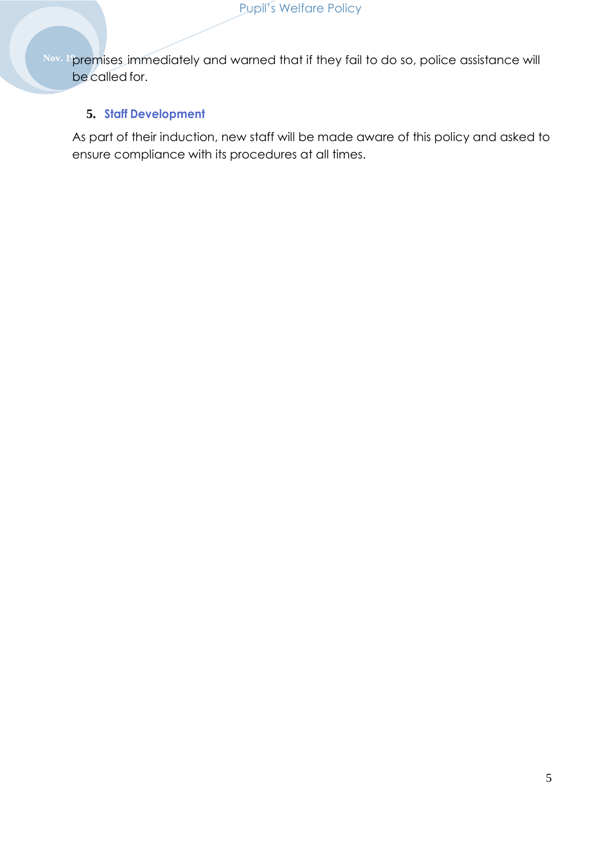Nov. 1<sup>9</sup>premises immediately and warned that if they fail to do so, police assistance will be called for.

### **5. Staff Development**

As part of their induction, new staff will be made aware of this policy and asked to ensure compliance with its procedures at all times.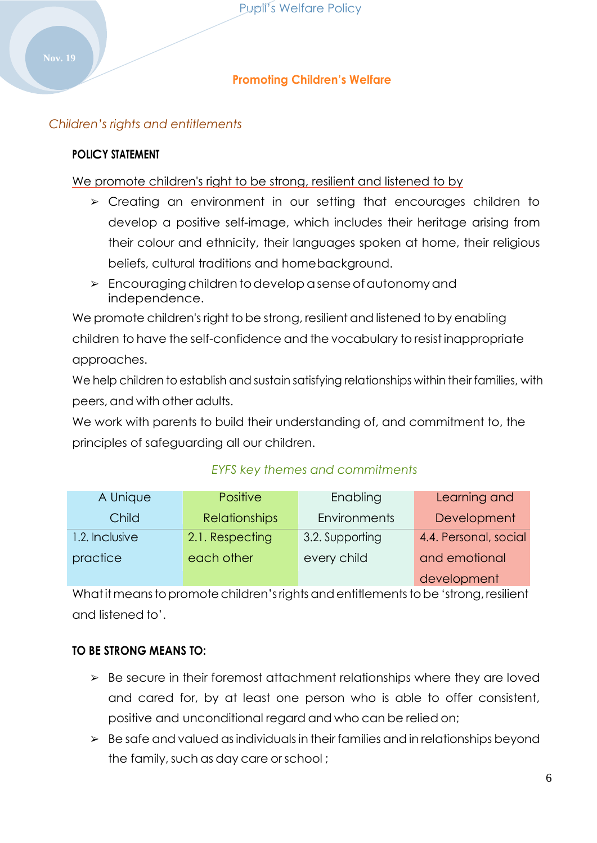### **Promoting Children's Welfare**

### <span id="page-5-0"></span>*Children's rights and entitlements*

#### **POLICY STATEMENT**

We promote children's right to be strong, resilient and listened to by

- ➢ Creating an environment in our setting that encourages children to develop a positive self-image, which includes their heritage arising from their colour and ethnicity, their languages spoken at home, their religious beliefs, cultural traditions and homebackground.
- ➢ Encouragingchildrentodevelopasenseofautonomyand independence.

We promote children's right to be strong, resilient and listened to by enabling children to have the self-confidence and the vocabulary to resist inappropriate approaches.

We help children to establish and sustain satisfying relationships within their families, with peers, and with other adults.

We work with parents to build their understanding of, and commitment to, the principles of safeguarding all our children.

| A Unique       | <b>Positive</b>      | Enabling        | Learning and          |
|----------------|----------------------|-----------------|-----------------------|
| Child          | <b>Relationships</b> | Environments    | Development           |
| 1.2. Inclusive | 2.1. Respecting      | 3.2. Supporting | 4.4. Personal, social |
| practice       | each other           | every child     | and emotional         |
|                |                      |                 | development           |

### *EYFS key themes and commitments*

What it means to promote children's rights and entitlements to be 'strong, resilient and listened to'.

### **TO BE STRONG MEANS TO:**

- ➢ Be secure in their foremost attachment relationships where they are loved and cared for, by at least one person who is able to offer consistent, positive and unconditional regard and who can be relied on;
- $\geq$  Be safe and valued as individuals in their families and in relationships beyond the family, such as day care or school;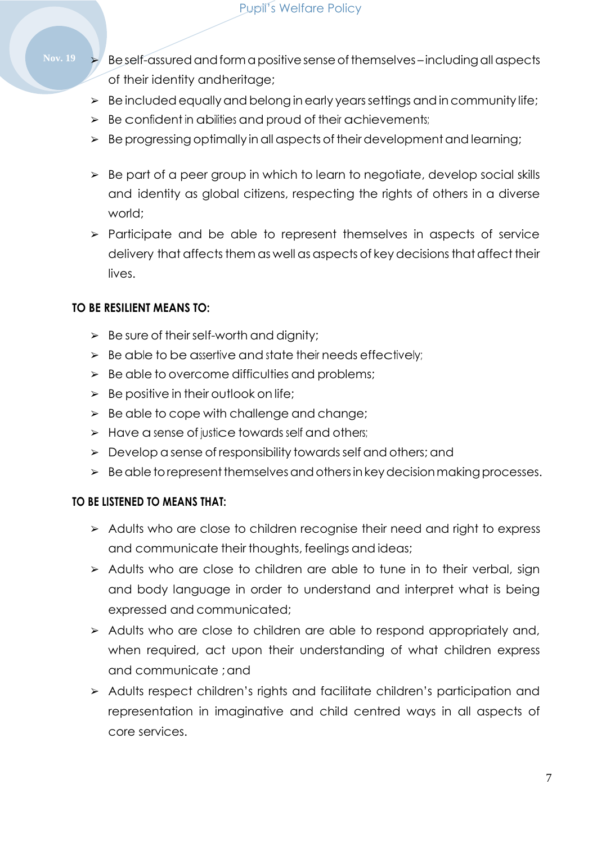- Nov. 19 **Example 3 Beself-assured and form a positive sense of themselves including all aspects** of their identity andheritage;
	- $\geq$  Be included equally and belong in early years settings and in community life;
	- $\triangleright$  Be confident in abilities and proud of their achievements;
	- ➢ Beprogressing optimally inall aspects of theirdevelopmentand learning;
	- ➢ Be part of a peer group in which to learn to negotiate, develop social skills and identity as global citizens, respecting the rights of others in a diverse world;
	- ➢ Participate and be able to represent themselves in aspects of service delivery that affects them as well as aspects of key decisions that affect their lives.

### **TO BE RESILIENT MEANS TO:**

- $\geq$  Be sure of their self-worth and dignity;
- $\triangleright$  Be able to be assertive and state their needs effectively;
- $\triangleright$  Be able to overcome difficulties and problems;
- $\geq$  Be positive in their outlook on life;
- $\geq$  Be able to cope with challenge and change;
- ➢ Have a sense of justice towards self and others;
- ➢ Develop a sense of responsibility towardsself and others; and
- $\triangleright$  Be able to represent themselves and others in key decision making processes.

### **TO BE LISTENED TO MEANS THAT:**

- ➢ Adults who are close to children recognise their need and right to express and communicate their thoughts, feelings and ideas;
- ➢ Adults who are close to children are able to tune in to their verbal, sign and body language in order to understand and interpret what is being expressed and communicated;
- ➢ Adults who are close to children are able to respond appropriately and, when required, act upon their understanding of what children express and communicate ;and
- ➢ Adults respect children's rights and facilitate children's participation and representation in imaginative and child centred ways in all aspects of core services.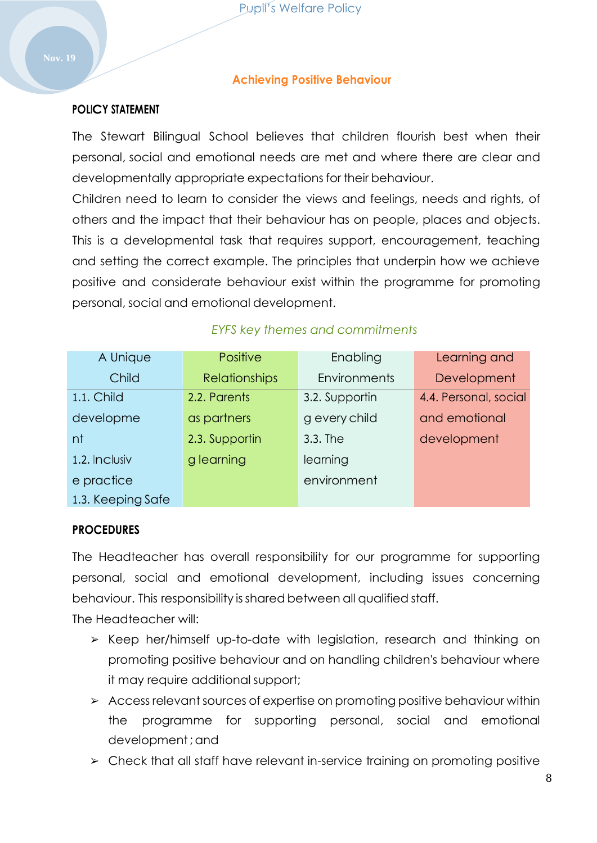#### **Achieving Positive Behaviour**

#### <span id="page-7-0"></span>**POLICY STATEMENT**

The Stewart Bilingual School believes that children flourish best when their personal, social and emotional needs are met and where there are clear and developmentally appropriate expectations for their behaviour.

Children need to learn to consider the views and feelings, needs and rights, of others and the impact that their behaviour has on people, places and objects. This is a developmental task that requires support, encouragement, teaching and setting the correct example. The principles that underpin how we achieve positive and considerate behaviour exist within the programme for promoting personal, social and emotional development.

| A Unique          | Positive             | Enabling       | Learning and          |
|-------------------|----------------------|----------------|-----------------------|
| Child             | <b>Relationships</b> | Environments   | Development           |
| 1.1. Child        | 2.2. Parents         | 3.2. Supportin | 4.4. Personal, social |
| developme         | as partners          | g every child  | and emotional         |
| nt                | 2.3. Supportin       | 3.3. The       | development           |
| 1.2. Inclusiv     | g learning           | learning       |                       |
| e practice        |                      | environment    |                       |
| 1.3. Keeping Safe |                      |                |                       |

### *EYFS key themes and commitments*

#### **PROCEDURES**

The Headteacher has overall responsibility for our programme for supporting personal, social and emotional development, including issues concerning behaviour. This responsibility isshared between all qualified staff.

The Headteacher will:

- ➢ Keep her/himself up-to-date with legislation, research and thinking on promoting positive behaviour and on handling children's behaviour where it may require additional support;
- $\triangleright$  Access relevant sources of expertise on promoting positive behaviour within the programme for supporting personal, social and emotional development;and
- ➢ Check that all staff have relevant in-service training on promoting positive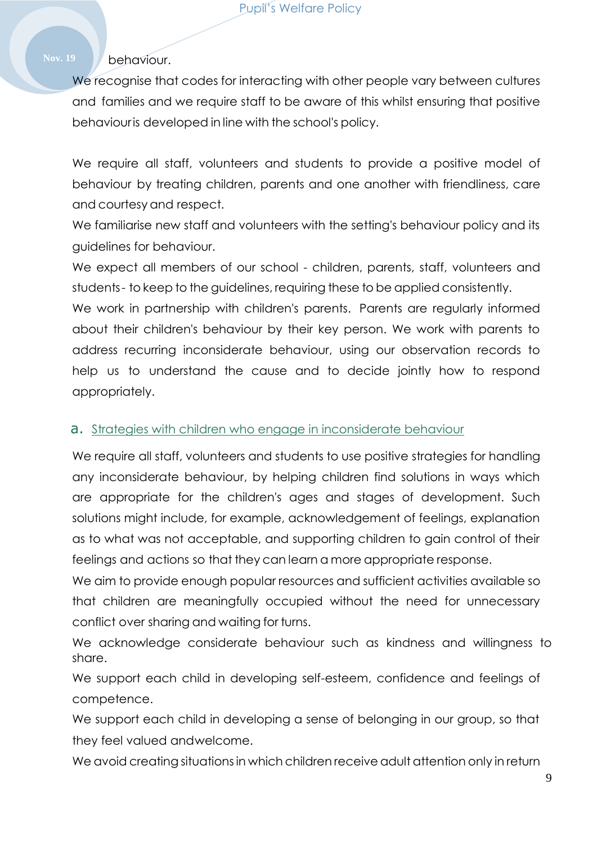### Nov. 19 **behaviour.**

We recognise that codes for interacting with other people vary between cultures and families and we require staff to be aware of this whilst ensuring that positive behaviouris developed in line with the school's policy.

We require all staff, volunteers and students to provide a positive model of behaviour by treating children, parents and one another with friendliness, care and courtesy and respect.

We familiarise new staff and volunteers with the setting's behaviour policy and its guidelines for behaviour.

We expect all members of our school - children, parents, staff, volunteers and students- to keep to the guidelines, requiring these to be applied consistently.

We work in partnership with children's parents. Parents are regularly informed about their children's behaviour by their key person. We work with parents to address recurring inconsiderate behaviour, using our observation records to help us to understand the cause and to decide jointly how to respond appropriately.

#### a. Strategies with children who engage in inconsiderate behaviour

We require all staff, volunteers and students to use positive strategies for handling any inconsiderate behaviour, by helping children find solutions in ways which are appropriate for the children's ages and stages of development. Such solutions might include, for example, acknowledgement of feelings, explanation as to what was not acceptable, and supporting children to gain control of their feelings and actions so that they can learn a more appropriate response.

We aim to provide enough popular resources and sufficient activities available so that children are meaningfully occupied without the need for unnecessary conflict over sharing and waiting for turns.

We acknowledge considerate behaviour such as kindness and willingness to share.

We support each child in developing self-esteem, confidence and feelings of competence.

We support each child in developing a sense of belonging in our group, so that they feel valued andwelcome.

We avoid creating situationsin which children receive adult attention only in return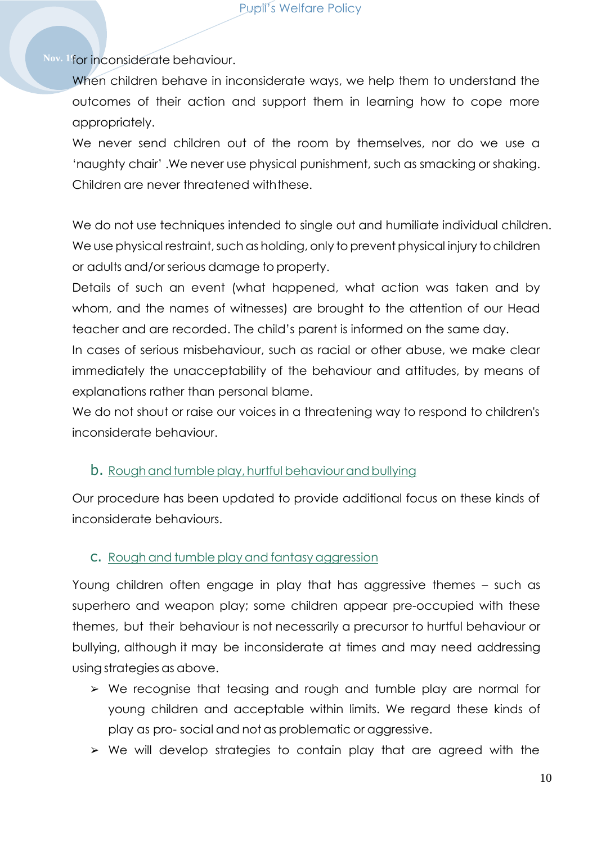#### Pupil's Welfare Policy

Nov. 1<sup>f</sup>or inconsiderate behaviour.

When children behave in inconsiderate ways, we help them to understand the outcomes of their action and support them in learning how to cope more appropriately.

We never send children out of the room by themselves, nor do we use a 'naughty chair' .We never use physical punishment, such as smacking or shaking. Children are never threatened withthese.

We do not use techniques intended to single out and humiliate individual children. We use physical restraint, such as holding, only to prevent physical injury to children or adults and/or serious damage to property.

Details of such an event (what happened, what action was taken and by whom, and the names of witnesses) are brought to the attention of our Head teacher and are recorded. The child's parent is informed on the same day. In cases of serious misbehaviour, such as racial or other abuse, we make clear immediately the unacceptability of the behaviour and attitudes, by means of explanations rather than personal blame.

We do not shout or raise our voices in a threatening way to respond to children's inconsiderate behaviour.

### **b.** Rough and tumble play, hurtful behaviour and bullying

Our procedure has been updated to provide additional focus on these kinds of inconsiderate behaviours.

### c. Rough and tumble play and fantasy aggression

Young children often engage in play that has aggressive themes – such as superhero and weapon play; some children appear pre-occupied with these themes, but their behaviour is not necessarily a precursor to hurtful behaviour or bullying, although it may be inconsiderate at times and may need addressing usingstrategies as above.

- ➢ We recognise that teasing and rough and tumble play are normal for young children and acceptable within limits. We regard these kinds of play as pro- social and not as problematic or aggressive.
- ➢ We will develop strategies to contain play that are agreed with the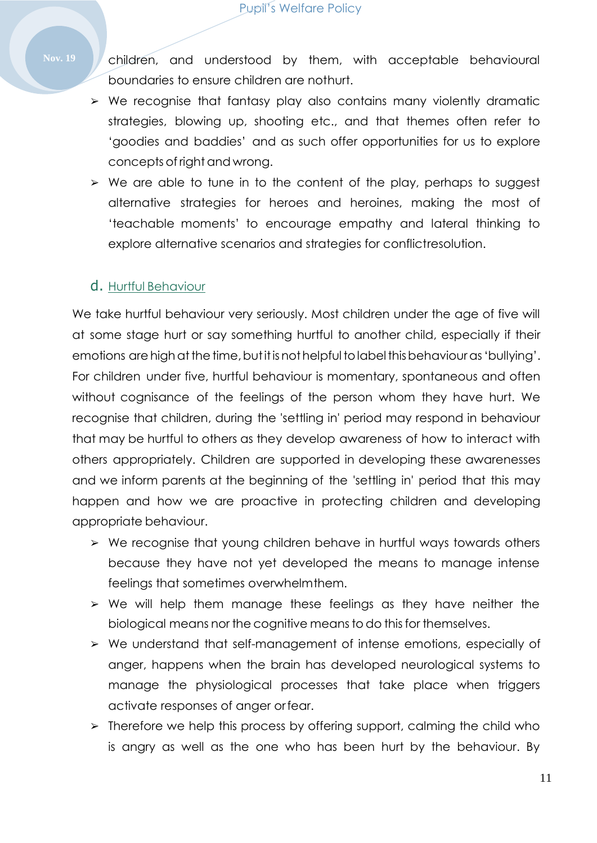- Nov. 19 **A** children, and understood by them, with acceptable behavioural boundaries to ensure children are nothurt.
	- ➢ We recognise that fantasy play also contains many violently dramatic strategies, blowing up, shooting etc., and that themes often refer to 'goodies and baddies' and as such offer opportunities for us to explore concepts of right and wrong.
	- ➢ We are able to tune in to the content of the play, perhaps to suggest alternative strategies for heroes and heroines, making the most of 'teachable moments' to encourage empathy and lateral thinking to explore alternative scenarios and strategies for conflictresolution.

## d. Hurtful Behaviour

We take hurtful behaviour very seriously. Most children under the age of five will at some stage hurt or say something hurtful to another child, especially if their emotions are high at the time, but it is not helpful to label this behaviour as 'bullying'. For children under five, hurtful behaviour is momentary, spontaneous and often without cognisance of the feelings of the person whom they have hurt. We recognise that children, during the 'settling in' period may respond in behaviour that may be hurtful to others as they develop awareness of how to interact with others appropriately. Children are supported in developing these awarenesses and we inform parents at the beginning of the 'settling in' period that this may happen and how we are proactive in protecting children and developing appropriate behaviour.

- ➢ We recognise that young children behave in hurtful ways towards others because they have not yet developed the means to manage intense feelings that sometimes overwhelmthem.
- ➢ We will help them manage these feelings as they have neither the biological means nor the cognitive means to do this for themselves.
- ➢ We understand that self-management of intense emotions, especially of anger, happens when the brain has developed neurological systems to manage the physiological processes that take place when triggers activate responses of anger orfear.
- ➢ Therefore we help this process by offering support, calming the child who is angry as well as the one who has been hurt by the behaviour. By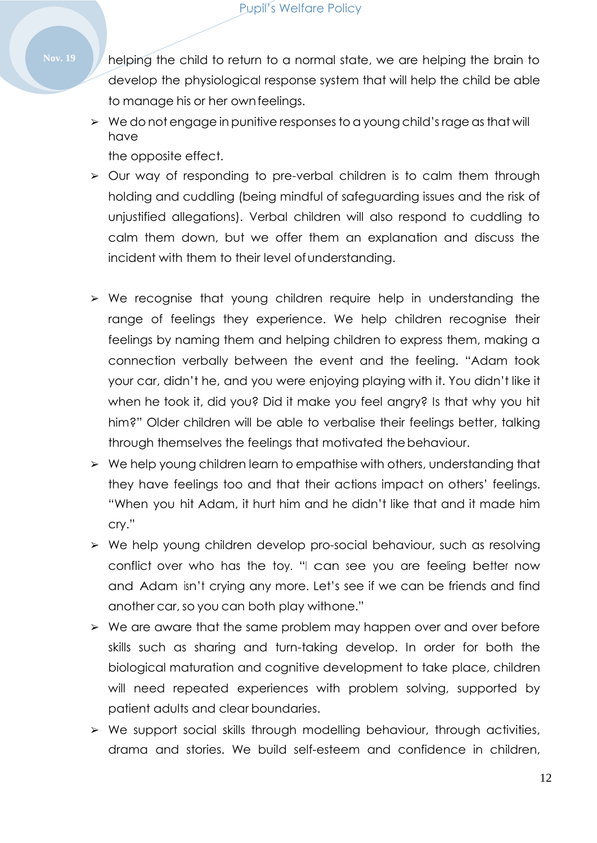**Nov. 19** helping the child to return to a normal state, we are helping the brain to develop the physiological response system that will help the child be able to manage his or her ownfeelings.

- ➢ We do not engage in punitive responses to a young child's rage asthat will have the opposite effect.
- ➢ Our way of responding to pre-verbal children is to calm them through holding and cuddling (being mindful of safeguarding issues and the risk of unjustified allegations). Verbal children will also respond to cuddling to calm them down, but we offer them an explanation and discuss the incident with them to their level of understanding.
	- ➢ We recognise that young children require help in understanding the range of feelings they experience. We help children recognise their feelings by naming them and helping children to express them, making a connection verbally between the event and the feeling. "Adam took your car, didn't he, and you were enjoying playing with it. You didn't like it when he took it, did you? Did it make you feel angry? Is that why you hit him?" Older children will be able to verbalise their feelings better, talking through themselves the feelings that motivated thebehaviour.
	- ➢ We help young children learn to empathise with others, understanding that they have feelings too and that their actions impact on others' feelings. "When you hit Adam, it hurt him and he didn't like that and it made him cry."
	- ➢ We help young children develop pro-social behaviour, such as resolving conflict over who has the toy. "<sup>I</sup> can see you are feeling better now and Adam isn't crying any more. Let's see if we can be friends and find another car, so you can both play withone."
	- ➢ We are aware that the same problem may happen over and over before skills such as sharing and turn-taking develop. In order for both the biological maturation and cognitive development to take place, children will need repeated experiences with problem solving, supported by patient adults and clear boundaries.
	- ➢ We support social skills through modelling behaviour, through activities, drama and stories. We build self-esteem and confidence in children,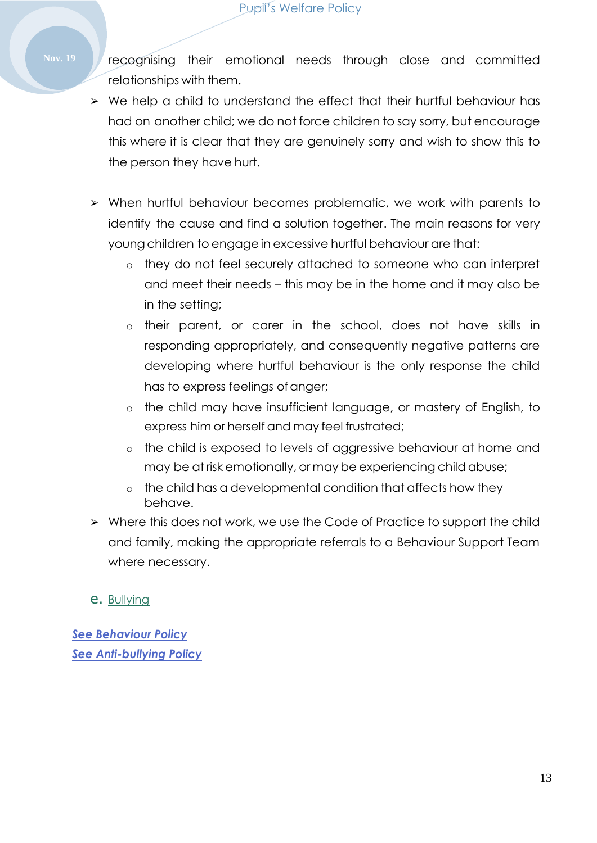Nov. 19 **7** recognising their emotional needs through close and committed relationships with them.

- ➢ We help a child to understand the effect that their hurtful behaviour has had on another child; we do not force children to say sorry, but encourage this where it is clear that they are genuinely sorry and wish to show this to the person they have hurt.
- ➢ When hurtful behaviour becomes problematic, we work with parents to identify the cause and find a solution together. The main reasons for very young children to engage in excessive hurtful behaviour are that:
	- o they do not feel securely attached to someone who can interpret and meet their needs – this may be in the home and it may also be in the setting;
	- o their parent, or carer in the school, does not have skills in responding appropriately, and consequently negative patterns are developing where hurtful behaviour is the only response the child has to express feelings of anger;
	- o the child may have insufficient language, or mastery of English, to express him or herself and may feel frustrated;
	- o the child is exposed to levels of aggressive behaviour at home and may be at risk emotionally, or may be experiencing child abuse;
	- o the child has a developmental condition that affects how they behave.
- ➢ Where this does not work, we use the Code of Practice to support the child and family, making the appropriate referrals to a Behaviour Support Team where necessary.
- e. Bullying

*See Behaviour Policy See Anti-bullying Policy*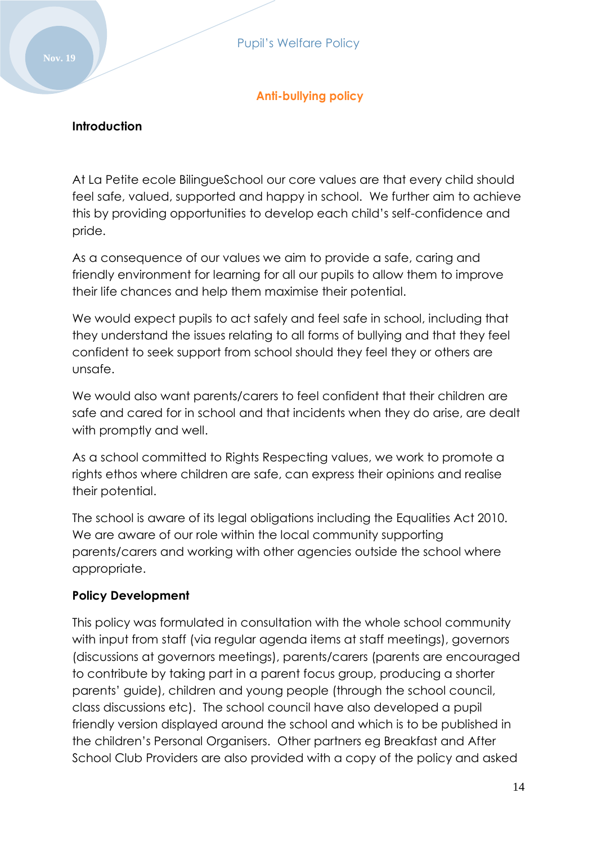## **Anti-bullying policy**

#### <span id="page-13-0"></span>**Introduction**

At La Petite ecole BilingueSchool our core values are that every child should feel safe, valued, supported and happy in school. We further aim to achieve this by providing opportunities to develop each child's self-confidence and pride.

As a consequence of our values we aim to provide a safe, caring and friendly environment for learning for all our pupils to allow them to improve their life chances and help them maximise their potential.

We would expect pupils to act safely and feel safe in school, including that they understand the issues relating to all forms of bullying and that they feel confident to seek support from school should they feel they or others are unsafe.

We would also want parents/carers to feel confident that their children are safe and cared for in school and that incidents when they do arise, are dealt with promptly and well.

As a school committed to Rights Respecting values, we work to promote a rights ethos where children are safe, can express their opinions and realise their potential.

The school is aware of its legal obligations including the Equalities Act 2010. We are aware of our role within the local community supporting parents/carers and working with other agencies outside the school where appropriate.

#### **Policy Development**

This policy was formulated in consultation with the whole school community with input from staff (via regular agenda items at staff meetings), governors (discussions at governors meetings), parents/carers (parents are encouraged to contribute by taking part in a parent focus group, producing a shorter parents' guide), children and young people (through the school council, class discussions etc). The school council have also developed a pupil friendly version displayed around the school and which is to be published in the children's Personal Organisers. Other partners eg Breakfast and After School Club Providers are also provided with a copy of the policy and asked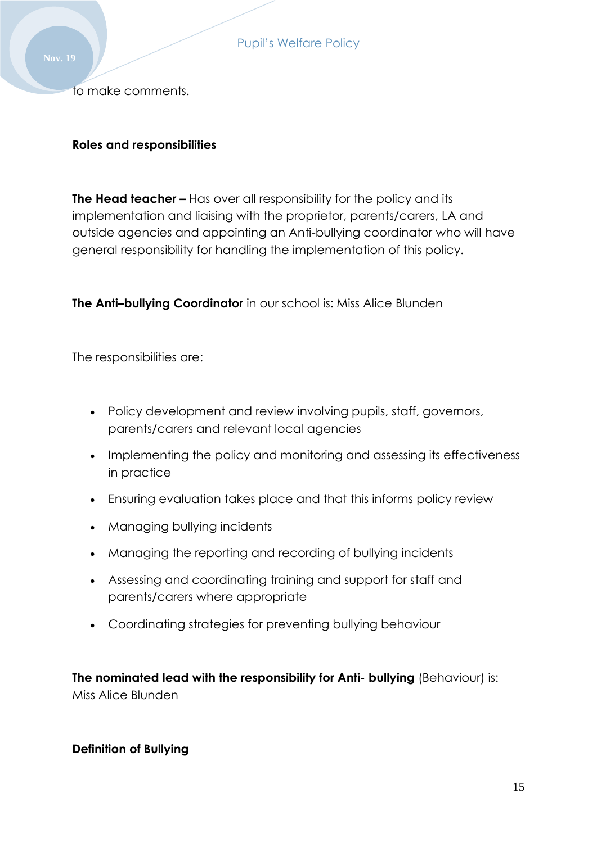to make comments.

#### **Roles and responsibilities**

**The Head teacher –** Has over all responsibility for the policy and its implementation and liaising with the proprietor, parents/carers, LA and outside agencies and appointing an Anti-bullying coordinator who will have general responsibility for handling the implementation of this policy.

**The Anti–bullying Coordinator** in our school is: Miss Alice Blunden

The responsibilities are:

- Policy development and review involving pupils, staff, governors, parents/carers and relevant local agencies
- Implementing the policy and monitoring and assessing its effectiveness in practice
- Ensuring evaluation takes place and that this informs policy review
- Managing bullying incidents
- Managing the reporting and recording of bullying incidents
- Assessing and coordinating training and support for staff and parents/carers where appropriate
- Coordinating strategies for preventing bullying behaviour

**The nominated lead with the responsibility for Anti- bullying** (Behaviour) is: Miss Alice Blunden

#### **Definition of Bullying**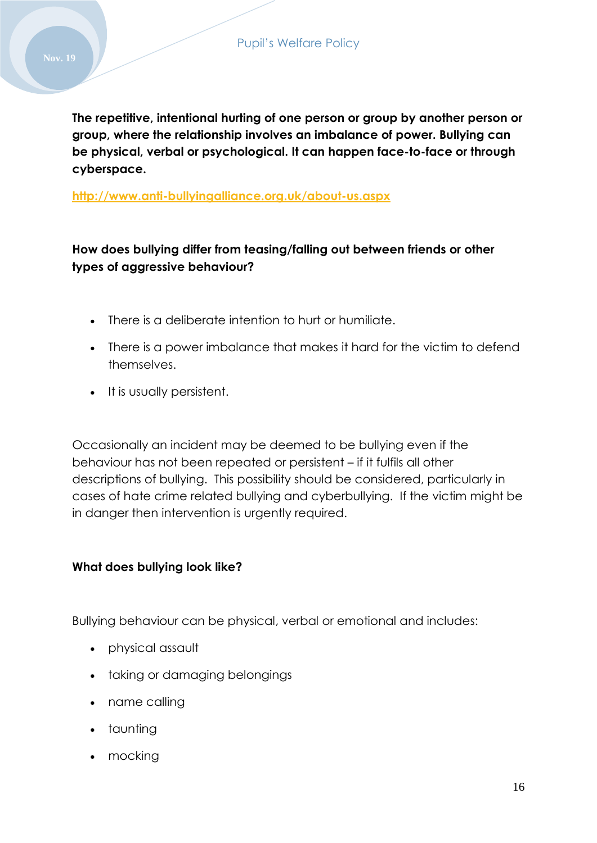**The repetitive, intentional hurting of one person or group by another person or group, where the relationship involves an imbalance of power. Bullying can be physical, verbal or psychological. It can happen face-to-face or through cyberspace.**

**<http://www.anti-bullyingalliance.org.uk/about-us.aspx>**

## **How does bullying differ from teasing/falling out between friends or other types of aggressive behaviour?**

- There is a deliberate intention to hurt or humiliate.
- There is a power imbalance that makes it hard for the victim to defend themselves.
- It is usually persistent.

Occasionally an incident may be deemed to be bullying even if the behaviour has not been repeated or persistent – if it fulfils all other descriptions of bullying. This possibility should be considered, particularly in cases of hate crime related bullying and cyberbullying. If the victim might be in danger then intervention is urgently required.

### **What does bullying look like?**

Bullying behaviour can be physical, verbal or emotional and includes:

- physical assault
- taking or damaging belongings
- name calling
- taunting
- mocking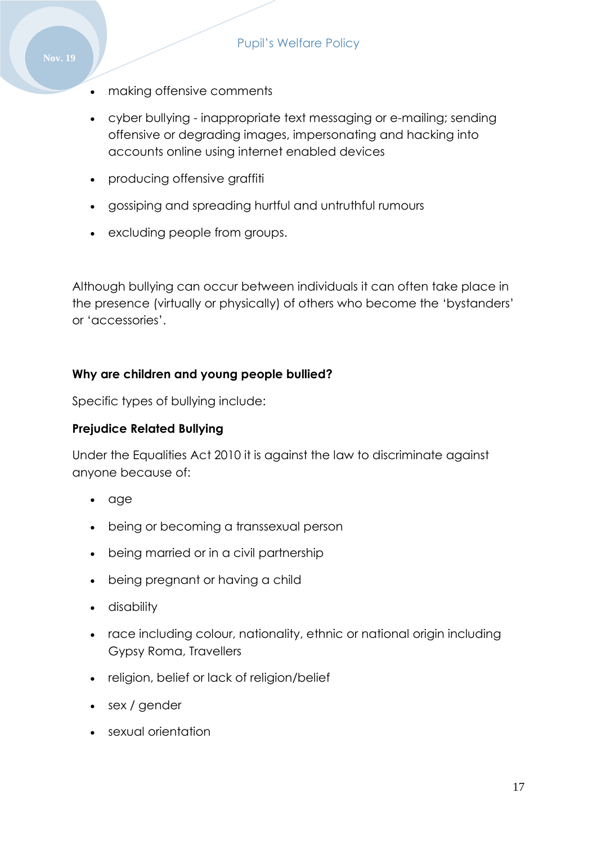- making offensive comments
- cyber bullying inappropriate text messaging or e-mailing; sending offensive or degrading images, impersonating and hacking into accounts online using internet enabled devices
- producing offensive graffiti
- gossiping and spreading hurtful and untruthful rumours
- excluding people from groups.

Although bullying can occur between individuals it can often take place in the presence (virtually or physically) of others who become the 'bystanders' or 'accessories'.

#### **Why are children and young people bullied?**

Specific types of bullying include:

#### **Prejudice Related Bullying**

Under the Equalities Act 2010 it is against the law to discriminate against anyone because of:

- age
- being or becoming a transsexual person
- being married or in a civil partnership
- being pregnant or having a child
- disability
- race including colour, nationality, ethnic or national origin including Gypsy Roma, Travellers
- religion, belief or lack of religion/belief
- sex / gender
- sexual orientation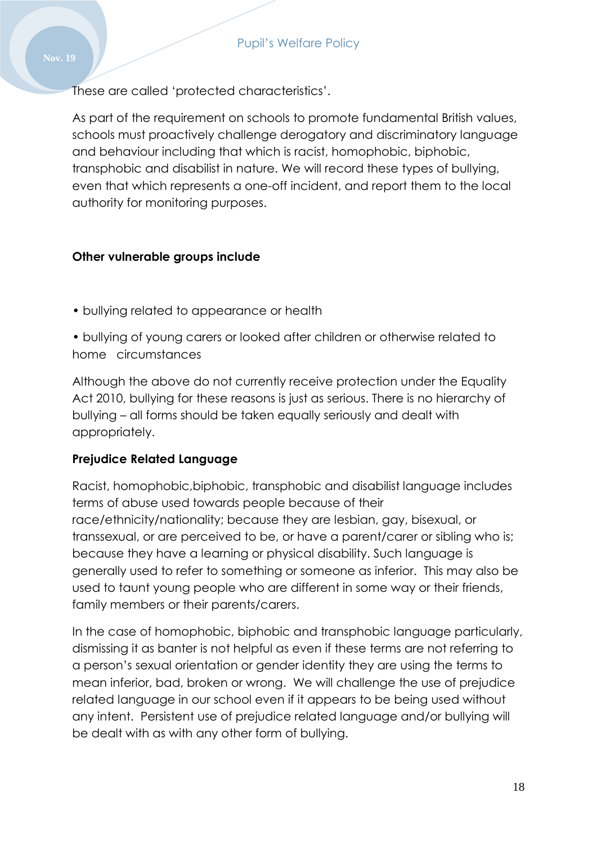These are called 'protected characteristics'.

As part of the requirement on schools to promote fundamental British values, schools must proactively challenge derogatory and discriminatory language and behaviour including that which is racist, homophobic, biphobic, transphobic and disabilist in nature. We will record these types of bullying, even that which represents a one-off incident, and report them to the local authority for monitoring purposes.

### **Other vulnerable groups include**

- bullying related to appearance or health
- bullying of young carers or looked after children or otherwise related to home circumstances

Although the above do not currently receive protection under the Equality Act 2010, bullying for these reasons is just as serious. There is no hierarchy of bullying – all forms should be taken equally seriously and dealt with appropriately.

### **Prejudice Related Language**

Racist, homophobic,biphobic, transphobic and disabilist language includes terms of abuse used towards people because of their race/ethnicity/nationality; because they are lesbian, gay, bisexual, or transsexual, or are perceived to be, or have a parent/carer or sibling who is; because they have a learning or physical disability. Such language is generally used to refer to something or someone as inferior. This may also be used to taunt young people who are different in some way or their friends, family members or their parents/carers.

In the case of homophobic, biphobic and transphobic language particularly, dismissing it as banter is not helpful as even if these terms are not referring to a person's sexual orientation or gender identity they are using the terms to mean inferior, bad, broken or wrong. We will challenge the use of prejudice related language in our school even if it appears to be being used without any intent. Persistent use of prejudice related language and/or bullying will be dealt with as with any other form of bullying.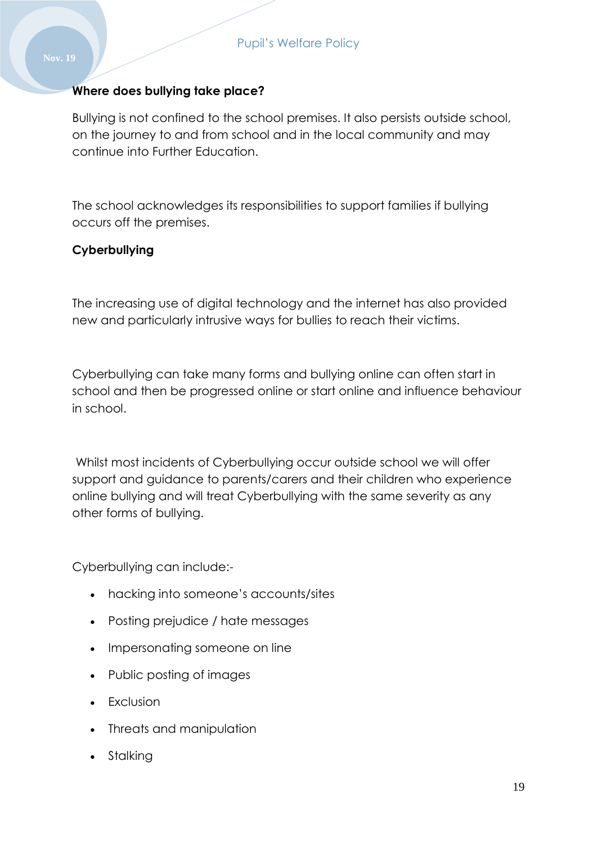#### **Where does bullying take place?**

Bullying is not confined to the school premises. It also persists outside school, on the journey to and from school and in the local community and may continue into Further Education.

The school acknowledges its responsibilities to support families if bullying occurs off the premises.

#### **Cyberbullying**

The increasing use of digital technology and the internet has also provided new and particularly intrusive ways for bullies to reach their victims.

Cyberbullying can take many forms and bullying online can often start in school and then be progressed online or start online and influence behaviour in school.

Whilst most incidents of Cyberbullying occur outside school we will offer support and guidance to parents/carers and their children who experience online bullying and will treat Cyberbullying with the same severity as any other forms of bullying.

Cyberbullying can include:-

- hacking into someone's accounts/sites
- Posting prejudice / hate messages
- Impersonating someone on line
- Public posting of images
- Exclusion
- Threats and manipulation
- Stalking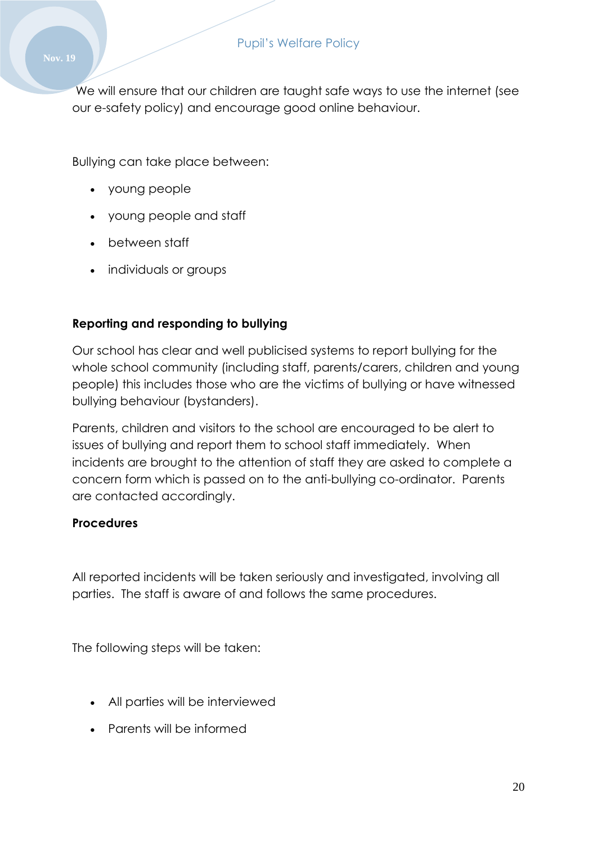We will ensure that our children are taught safe ways to use the internet (see our e-safety policy) and encourage good online behaviour.

Bullying can take place between:

- young people
- young people and staff
- between staff
- individuals or groups

#### **Reporting and responding to bullying**

Our school has clear and well publicised systems to report bullying for the whole school community (including staff, parents/carers, children and young people) this includes those who are the victims of bullying or have witnessed bullying behaviour (bystanders).

Parents, children and visitors to the school are encouraged to be alert to issues of bullying and report them to school staff immediately. When incidents are brought to the attention of staff they are asked to complete a concern form which is passed on to the anti-bullying co-ordinator. Parents are contacted accordingly.

#### **Procedures**

All reported incidents will be taken seriously and investigated, involving all parties. The staff is aware of and follows the same procedures.

The following steps will be taken:

- All parties will be interviewed
- Parents will be informed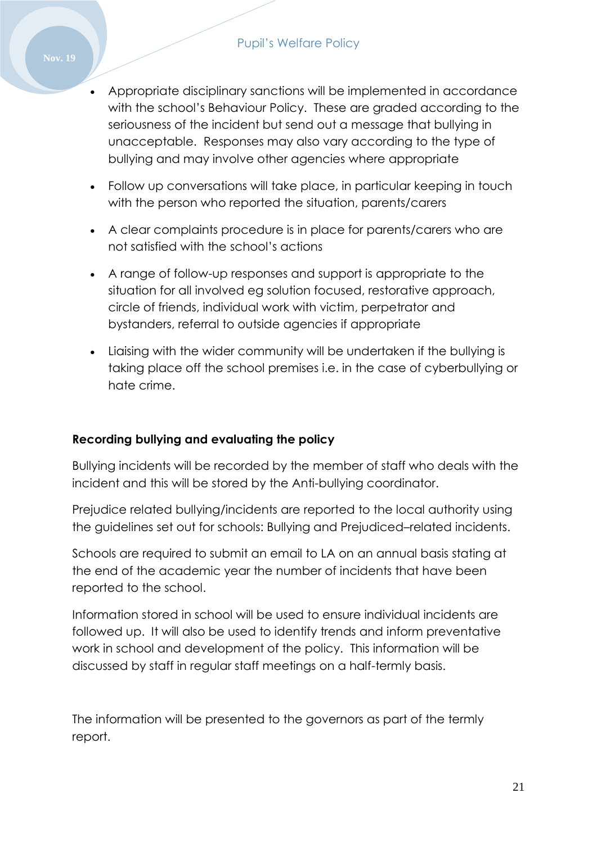- Appropriate disciplinary sanctions will be implemented in accordance with the school's Behaviour Policy. These are graded according to the seriousness of the incident but send out a message that bullying in unacceptable. Responses may also vary according to the type of bullying and may involve other agencies where appropriate
- Follow up conversations will take place, in particular keeping in touch with the person who reported the situation, parents/carers
- A clear complaints procedure is in place for parents/carers who are not satisfied with the school's actions
- A range of follow-up responses and support is appropriate to the situation for all involved eg solution focused, restorative approach, circle of friends, individual work with victim, perpetrator and bystanders, referral to outside agencies if appropriate
- Liaising with the wider community will be undertaken if the bullying is taking place off the school premises i.e. in the case of cyberbullying or hate crime.

## **Recording bullying and evaluating the policy**

Bullying incidents will be recorded by the member of staff who deals with the incident and this will be stored by the Anti-bullying coordinator.

Prejudice related bullying/incidents are reported to the local authority using the guidelines set out for schools: Bullying and Prejudiced–related incidents.

Schools are required to submit an email to LA on an annual basis stating at the end of the academic year the number of incidents that have been reported to the school.

Information stored in school will be used to ensure individual incidents are followed up. It will also be used to identify trends and inform preventative work in school and development of the policy. This information will be discussed by staff in regular staff meetings on a half-termly basis.

The information will be presented to the governors as part of the termly report.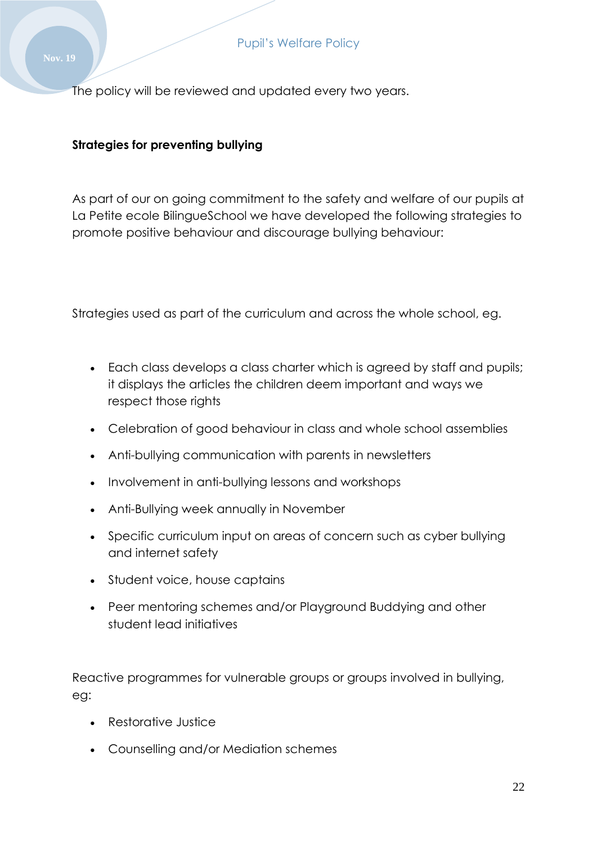The policy will be reviewed and updated every two years.

## **Strategies for preventing bullying**

As part of our on going commitment to the safety and welfare of our pupils at La Petite ecole BilingueSchool we have developed the following strategies to promote positive behaviour and discourage bullying behaviour:

Strategies used as part of the curriculum and across the whole school, eg.

- Each class develops a class charter which is agreed by staff and pupils; it displays the articles the children deem important and ways we respect those rights
- Celebration of good behaviour in class and whole school assemblies
- Anti-bullying communication with parents in newsletters
- Involvement in anti-bullying lessons and workshops
- Anti-Bullying week annually in November
- Specific curriculum input on areas of concern such as cyber bullying and internet safety
- Student voice, house captains
- Peer mentoring schemes and/or Playground Buddying and other student lead initiatives

Reactive programmes for vulnerable groups or groups involved in bullying, eg:

- Restorative Justice
- Counselling and/or Mediation schemes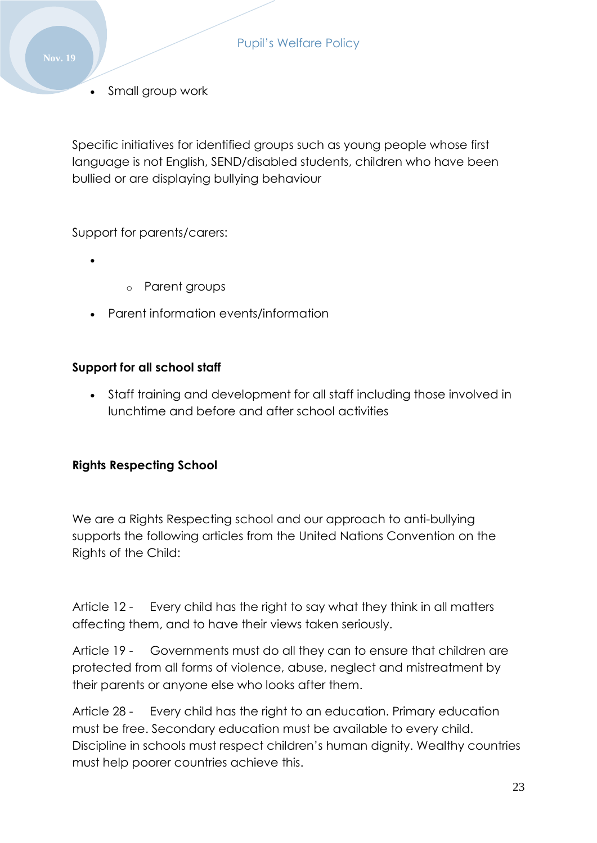Small group work

Specific initiatives for identified groups such as young people whose first language is not English, SEND/disabled students, children who have been bullied or are displaying bullying behaviour

Support for parents/carers:

- $\bullet$
- o Parent groups
- Parent information events/information

### **Support for all school staff**

 Staff training and development for all staff including those involved in lunchtime and before and after school activities

#### **Rights Respecting School**

We are a Rights Respecting school and our approach to anti-bullying supports the following articles from the United Nations Convention on the Rights of the Child:

Article 12 - Every child has the right to say what they think in all matters affecting them, and to have their views taken seriously.

Article 19 - Governments must do all they can to ensure that children are protected from all forms of violence, abuse, neglect and mistreatment by their parents or anyone else who looks after them.

Article 28 - Every child has the right to an education. Primary education must be free. Secondary education must be available to every child. Discipline in schools must respect children's human dignity. Wealthy countries must help poorer countries achieve this.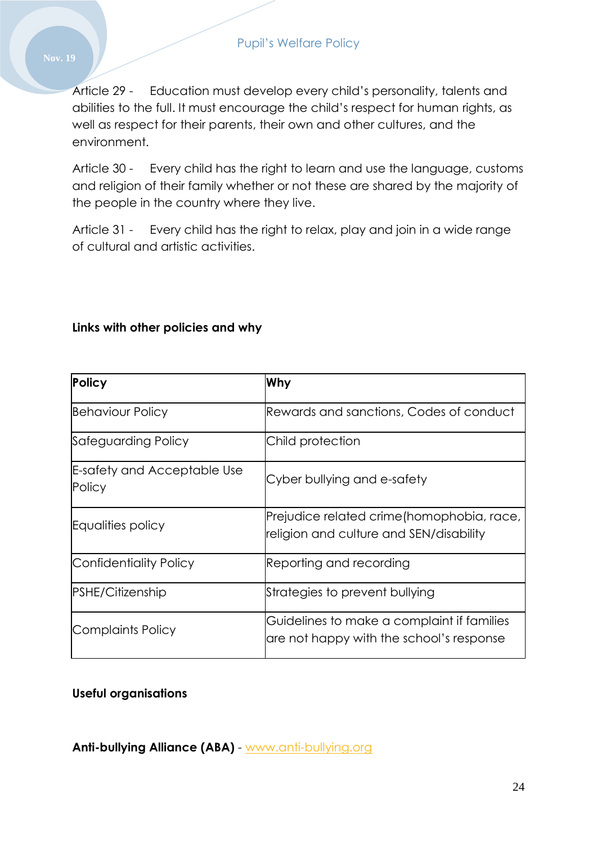Article 29 - Education must develop every child's personality, talents and abilities to the full. It must encourage the child's respect for human rights, as well as respect for their parents, their own and other cultures, and the environment.

Article 30 - Every child has the right to learn and use the language, customs and religion of their family whether or not these are shared by the majority of the people in the country where they live.

Article 31 - Every child has the right to relax, play and join in a wide range of cultural and artistic activities.

### **Links with other policies and why**

| <b>Policy</b>                         | Why                                                                                    |
|---------------------------------------|----------------------------------------------------------------------------------------|
| <b>Behaviour Policy</b>               | Rewards and sanctions, Codes of conduct                                                |
| Safeguarding Policy                   | Child protection                                                                       |
| E-safety and Acceptable Use<br>Policy | Cyber bullying and e-safety                                                            |
| Equalities policy                     | Prejudice related crime (homophobia, race,<br>religion and culture and SEN/disability  |
| Confidentiality Policy                | Reporting and recording                                                                |
| <b>PSHE/Citizenship</b>               | Strategies to prevent bullying                                                         |
| Complaints Policy                     | Guidelines to make a complaint if families<br>are not happy with the school's response |

#### **Useful organisations**

**Anti-bullying Alliance (ABA)** - [www.anti-bullying.org](http://www.anti-bullying.org/)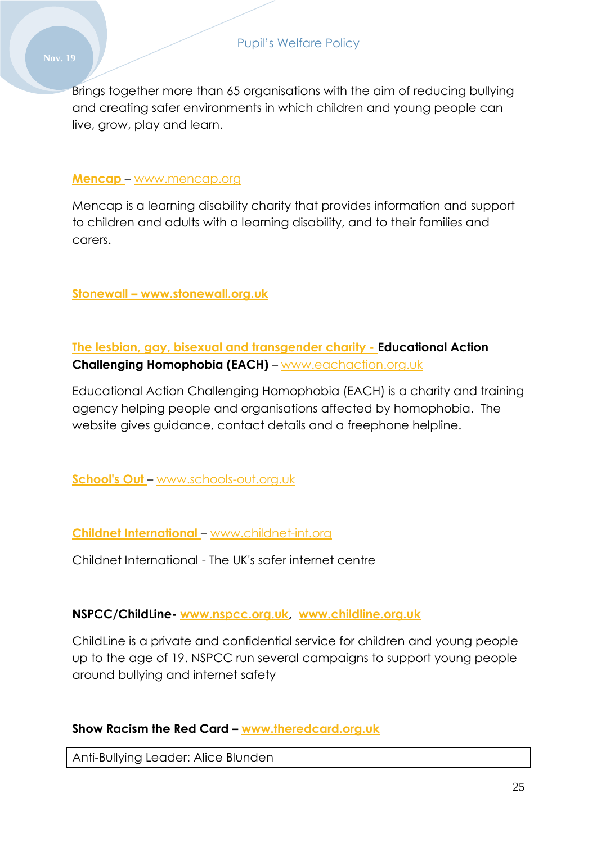Brings together more than 65 organisations with the aim of reducing bullying and creating safer environments in which children and young people can live, grow, play and learn.

#### **[Mencap](http://www.mencap.org.uk/)** – [www.mencap.org](http://www.mencap.org/)

Mencap is a learning disability charity that provides information and support to children and adults with a learning disability, and to their families and carers.

**Stonewall – www.stonewall.org.uk**

**The lesbian, gay, bisexual and transgender charity - Educational Action Challenging Homophobia (EACH)** – [www.eachaction.org.uk](http://www.eachaction.org.uk/)

Educational Action Challenging Homophobia (EACH) is a charity and training agency helping people and organisations affected by homophobia. The website gives guidance, contact details and a freephone helpline.

**[School's Out](http://www.schools-out.org.uk/)** – [www.schools-out.org.uk](http://www.schools-out.org.uk/)

**[Childnet International](http://childnet-int.org/)** – [www.childnet-int.org](http://www.childnet-int.org/)

Childnet International - The UK's safer internet centre

#### **NSPCC/ChildLine- [www.nspcc.org.uk,](http://www.nspcc.org.uk/) [www.childline.org.uk](http://www.childline.org.uk/)**

ChildLine is a private and confidential service for children and young people up to the age of 19. NSPCC run several campaigns to support young people around bullying and internet safety

### **Show Racism the Red Card – [www.theredcard.org.uk](http://www.theredcard.org.uk/)**

Anti-Bullying Leader: Alice Blunden